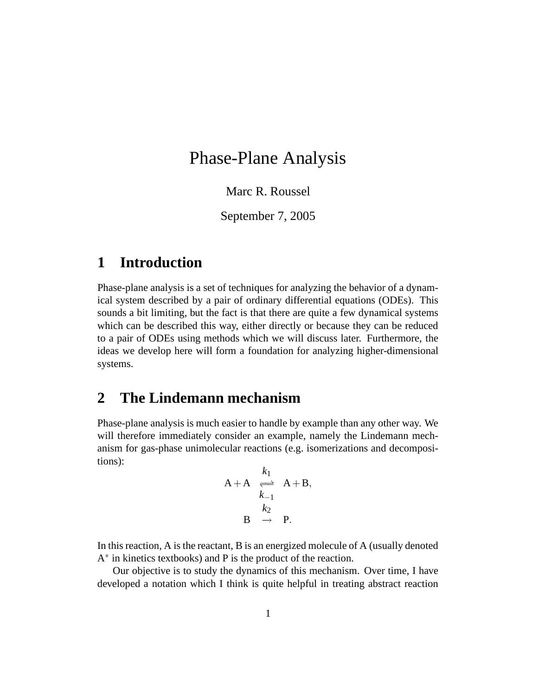# Phase-Plane Analysis

Marc R. Roussel

September 7, 2005

# **1 Introduction**

Phase-plane analysis is a set of techniques for analyzing the behavior of a dynamical system described by a pair of ordinary differential equations (ODEs). This sounds a bit limiting, but the fact is that there are quite a few dynamical systems which can be described this way, either directly or because they can be reduced to a pair of ODEs using methods which we will discuss later. Furthermore, the ideas we develop here will form a foundation for analyzing higher-dimensional systems.

## **2 The Lindemann mechanism**

Phase-plane analysis is much easier to handle by example than any other way. We will therefore immediately consider an example, namely the Lindemann mechanism for gas-phase unimolecular reactions (e.g. isomerizations and decompositions):

$$
A + A \underset{k_1}{\underset{k_2}{\rightleftharpoons}} A + B,
$$
  

$$
B \underset{\rightarrow}{\rightleftharpoons} P.
$$

In this reaction,  $A$  is the reactant,  $B$  is an energized molecule of  $A$  (usually denoted A<sup>\*</sup> in kinetics textbooks) and P is the product of the reaction.

Our objective is to study the dynamics of this mechanism. Over time, I have developed a notation which I think is quite helpful in treating abstract reaction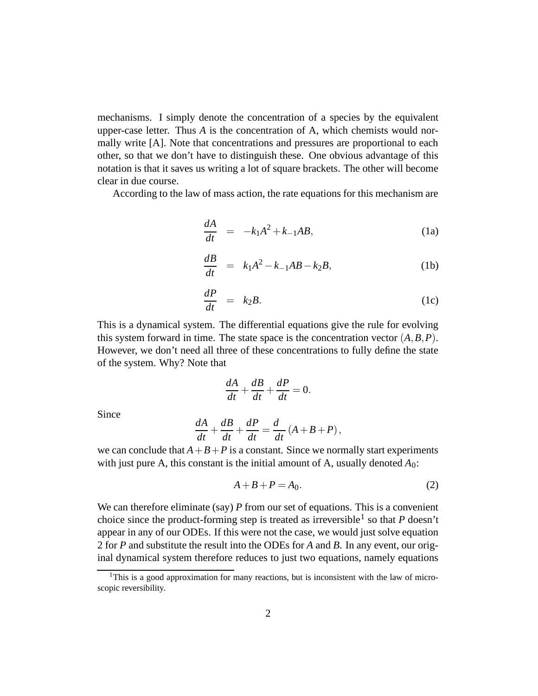mechanisms. I simply denote the concentration of a species by the equivalent upper-case letter. Thus *A* is the concentration of A, which chemists would normally write [A]. Note that concentrations and pressures are proportional to each other, so that we don't have to distinguish these. One obvious advantage of this notation is that it saves us writing a lot of square brackets. The other will become clear in due course.

According to the law of mass action, the rate equations for this mechanism are

$$
\frac{dA}{dt} = -k_1 A^2 + k_{-1} A B, \qquad (1a)
$$

$$
\frac{dB}{dt} = k_1 A^2 - k_{-1} A B - k_2 B, \tag{1b}
$$

$$
\frac{dP}{dt} = k_2 B. \tag{1c}
$$

This is a dynamical system. The differential equations give the rule for evolving this system forward in time. The state space is the concentration vector  $(A, B, P)$ . However, we don't need all three of these concentrations to fully define the state of the system. Why? Note that

$$
\frac{dA}{dt} + \frac{dB}{dt} + \frac{dP}{dt} = 0.
$$

Since

$$
\frac{dA}{dt} + \frac{dB}{dt} + \frac{dP}{dt} = \frac{d}{dt}(A + B + P),
$$

we can conclude that  $A + B + P$  is a constant. Since we normally start experiments with just pure A, this constant is the initial amount of A, usually denoted *A*0:

$$
A + B + P = A_0. \tag{2}
$$

We can therefore eliminate (say) *P* from our set of equations. This is a convenient choice since the product-forming step is treated as irreversible<sup>1</sup> so that *P* doesn't appear in any of our ODEs. If this were not the case, we would just solve equation 2 for *P* and substitute the result into the ODEs for *A* and *B*. In any event, our original dynamical system therefore reduces to just two equations, namely equations

<sup>&</sup>lt;sup>1</sup>This is a good approximation for many reactions, but is inconsistent with the law of microscopic reversibility.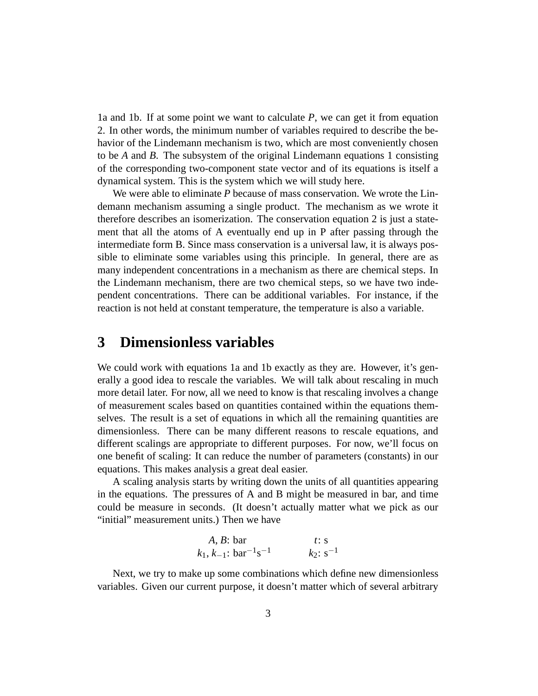1a and 1b. If at some point we want to calculate *P*, we can get it from equation 2. In other words, the minimum number of variables required to describe the behavior of the Lindemann mechanism is two, which are most conveniently chosen to be *A* and *B*. The subsystem of the original Lindemann equations 1 consisting of the corresponding two-component state vector and of its equations is itself a dynamical system. This is the system which we will study here.

We were able to eliminate *P* because of mass conservation. We wrote the Lindemann mechanism assuming a single product. The mechanism as we wrote it therefore describes an isomerization. The conservation equation 2 is just a statement that all the atoms of A eventually end up in P after passing through the intermediate form B. Since mass conservation is a universal law, it is always possible to eliminate some variables using this principle. In general, there are as many independent concentrations in a mechanism as there are chemical steps. In the Lindemann mechanism, there are two chemical steps, so we have two independent concentrations. There can be additional variables. For instance, if the reaction is not held at constant temperature, the temperature is also a variable.

### **3 Dimensionless variables**

We could work with equations 1a and 1b exactly as they are. However, it's generally a good idea to rescale the variables. We will talk about rescaling in much more detail later. For now, all we need to know is that rescaling involves a change of measurement scales based on quantities contained within the equations themselves. The result is a set of equations in which all the remaining quantities are dimensionless. There can be many different reasons to rescale equations, and different scalings are appropriate to different purposes. For now, we'll focus on one benefit of scaling: It can reduce the number of parameters (constants) in our equations. This makes analysis a great deal easier.

A scaling analysis starts by writing down the units of all quantities appearing in the equations. The pressures of A and B might be measured in bar, and time could be measure in seconds. (It doesn't actually matter what we pick as our "initial" measurement units.) Then we have

*A, B*: bar *t*: s  

$$
k_1, k_{-1}
$$
: bar<sup>-1</sup>s<sup>-1</sup>  $k_2$ : s<sup>-1</sup>

Next, we try to make up some combinations which define new dimensionless variables. Given our current purpose, it doesn't matter which of several arbitrary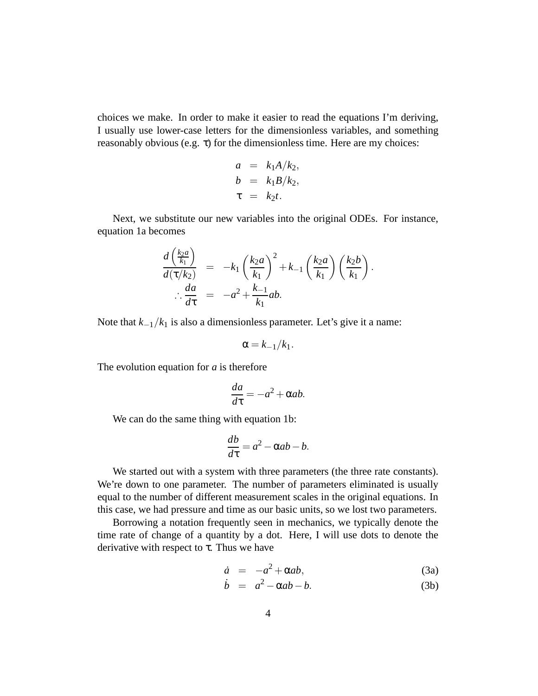choices we make. In order to make it easier to read the equations I'm deriving, I usually use lower-case letters for the dimensionless variables, and something reasonably obvious (e.g.  $\tau$ ) for the dimensionless time. Here are my choices:

$$
a = k_1 A/k_2,
$$
  
\n
$$
b = k_1 B/k_2,
$$
  
\n
$$
\tau = k_2 t.
$$

Next, we substitute our new variables into the original ODEs. For instance, equation 1a becomes

$$
\frac{d\left(\frac{k_2a}{k_1}\right)}{d(\tau/k_2)} = -k_1\left(\frac{k_2a}{k_1}\right)^2 + k_{-1}\left(\frac{k_2a}{k_1}\right)\left(\frac{k_2b}{k_1}\right).
$$
\n
$$
\therefore \frac{da}{d\tau} = -a^2 + \frac{k_{-1}}{k_1}ab.
$$

Note that  $k_{-1}/k_1$  is also a dimensionless parameter. Let's give it a name:

$$
\alpha = k_{-1}/k_1.
$$

The evolution equation for *a* is therefore

$$
\frac{da}{d\tau} = -a^2 + \alpha ab.
$$

We can do the same thing with equation 1b:

$$
\frac{db}{d\tau} = a^2 - \alpha ab - b.
$$

We started out with a system with three parameters (the three rate constants). We're down to one parameter. The number of parameters eliminated is usually equal to the number of different measurement scales in the original equations. In this case, we had pressure and time as our basic units, so we lost two parameters.

Borrowing a notation frequently seen in mechanics, we typically denote the time rate of change of a quantity by a dot. Here, I will use dots to denote the derivative with respect to  $\tau$ . Thus we have

$$
\dot{a} = -a^2 + \alpha ab,\tag{3a}
$$

$$
\dot{b} = a^2 - \alpha ab - b. \tag{3b}
$$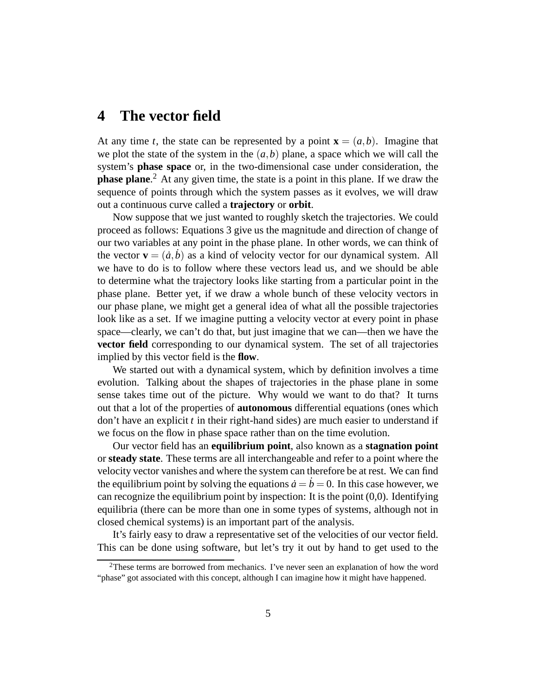### **4 The vector field**

At any time *t*, the state can be represented by a point  $\mathbf{x} = (a, b)$ . Imagine that we plot the state of the system in the  $(a,b)$  plane, a space which we will call the system's **phase space** or, in the two-dimensional case under consideration, the **phase plane**. <sup>2</sup> At any given time, the state is a point in this plane. If we draw the sequence of points through which the system passes as it evolves, we will draw out a continuous curve called a **trajectory** or **orbit**.

Now suppose that we just wanted to roughly sketch the trajectories. We could proceed as follows: Equations 3 give us the magnitude and direction of change of our two variables at any point in the phase plane. In other words, we can think of the vector  $\mathbf{v} = (\dot{a}, \dot{b})$  as a kind of velocity vector for our dynamical system. All we have to do is to follow where these vectors lead us, and we should be able to determine what the trajectory looks like starting from a particular point in the phase plane. Better yet, if we draw a whole bunch of these velocity vectors in our phase plane, we might get a general idea of what all the possible trajectories look like as a set. If we imagine putting a velocity vector at every point in phase space—clearly, we can't do that, but just imagine that we can—then we have the **vector field** corresponding to our dynamical system. The set of all trajectories implied by this vector field is the **flow**.

We started out with a dynamical system, which by definition involves a time evolution. Talking about the shapes of trajectories in the phase plane in some sense takes time out of the picture. Why would we want to do that? It turns out that a lot of the properties of **autonomous** differential equations (ones which don't have an explicit *t* in their right-hand sides) are much easier to understand if we focus on the flow in phase space rather than on the time evolution.

Our vector field has an **equilibrium point**, also known as a **stagnation point** or **steady state**. These terms are all interchangeable and refer to a point where the velocity vector vanishes and where the system can therefore be at rest. We can find the equilibrium point by solving the equations  $\dot{a} = b = 0$ . In this case however, we can recognize the equilibrium point by inspection: It is the point  $(0,0)$ . Identifying equilibria (there can be more than one in some types of systems, although not in closed chemical systems) is an important part of the analysis.

It's fairly easy to draw a representative set of the velocities of our vector field. This can be done using software, but let's try it out by hand to get used to the

<sup>&</sup>lt;sup>2</sup>These terms are borrowed from mechanics. I've never seen an explanation of how the word "phase" got associated with this concept, although I can imagine how it might have happened.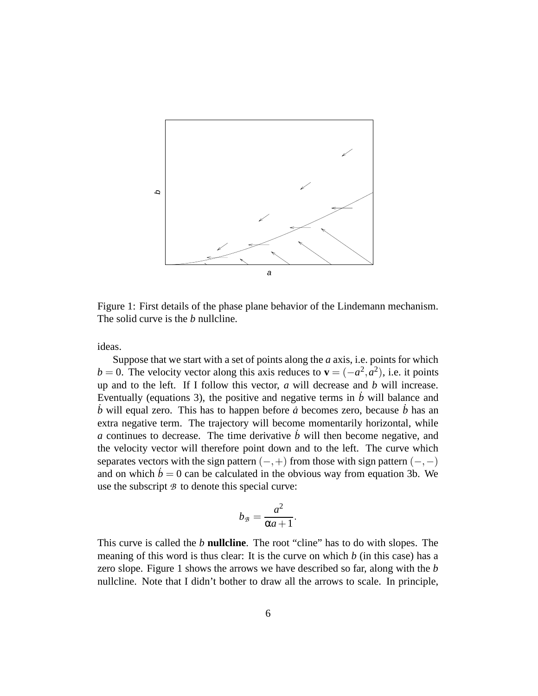

Figure 1: First details of the phase plane behavior of the Lindemann mechanism. The solid curve is the *b* nullcline.

ideas.

Suppose that we start with a set of points along the *a* axis, i.e. points for which  $b = 0$ . The velocity vector along this axis reduces to **v** =  $(-a^2, a^2)$ , i.e. it points up and to the left. If I follow this vector, *a* will decrease and *b* will increase. Eventually (equations 3), the positive and negative terms in  $\dot{b}$  will balance and  $\dot{b}$  will equal zero. This has to happen before  $\dot{a}$  becomes zero, because  $\dot{b}$  has an extra negative term. The trajectory will become momentarily horizontal, while *a* continues to decrease. The time derivative  $\dot{b}$  will then become negative, and the velocity vector will therefore point down and to the left. The curve which separates vectors with the sign pattern  $(-,+)$  from those with sign pattern  $(-,-)$ and on which  $\dot{b} = 0$  can be calculated in the obvious way from equation 3b. We use the subscript *B* to denote this special curve:

$$
b_{\mathcal{B}}=\frac{a^2}{\alpha a+1}.
$$

This curve is called the *b* **nullcline**. The root "cline" has to do with slopes. The meaning of this word is thus clear: It is the curve on which *b* (in this case) has a zero slope. Figure 1 shows the arrows we have described so far, along with the *b* nullcline. Note that I didn't bother to draw all the arrows to scale. In principle,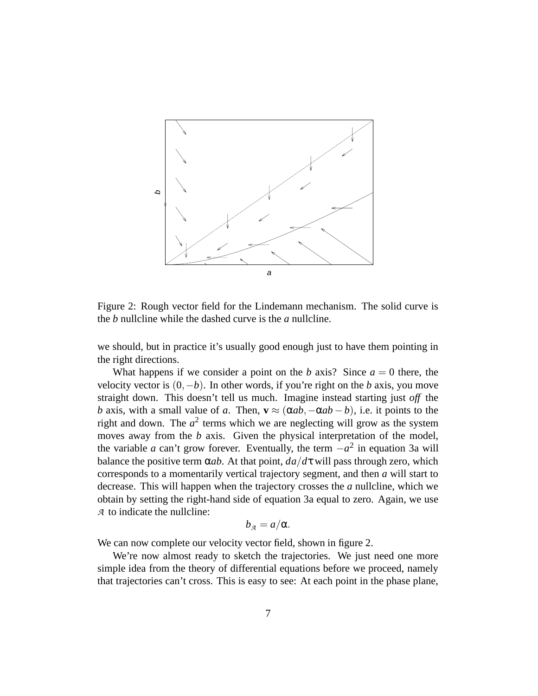

Figure 2: Rough vector field for the Lindemann mechanism. The solid curve is the *b* nullcline while the dashed curve is the *a* nullcline.

we should, but in practice it's usually good enough just to have them pointing in the right directions.

What happens if we consider a point on the *b* axis? Since  $a = 0$  there, the velocity vector is (0,−*b*). In other words, if you're right on the *b* axis, you move straight down. This doesn't tell us much. Imagine instead starting just *off* the *b* axis, with a small value of *a*. Then,  $\mathbf{v} \approx (\alpha ab, -\alpha ab - b)$ , i.e. it points to the right and down. The  $a^2$  terms which we are neglecting will grow as the system moves away from the *b* axis. Given the physical interpretation of the model, the variable *a* can't grow forever. Eventually, the term  $-a^2$  in equation 3a will balance the positive term  $\alpha$ *ab*. At that point,  $da/d\tau$  will pass through zero, which corresponds to a momentarily vertical trajectory segment, and then *a* will start to decrease. This will happen when the trajectory crosses the *a* nullcline, which we obtain by setting the right-hand side of equation 3a equal to zero. Again, we use *A* to indicate the nullcline:

$$
b_{\mathcal{A}}=a/\alpha.
$$

We can now complete our velocity vector field, shown in figure 2.

We're now almost ready to sketch the trajectories. We just need one more simple idea from the theory of differential equations before we proceed, namely that trajectories can't cross. This is easy to see: At each point in the phase plane,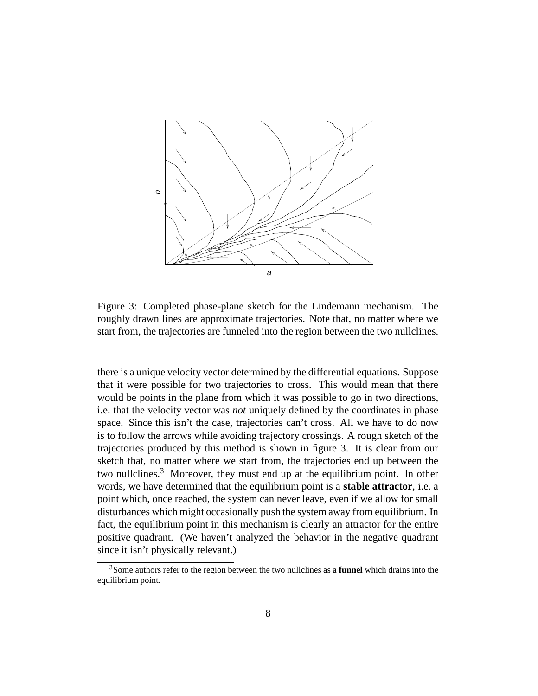

Figure 3: Completed phase-plane sketch for the Lindemann mechanism. The roughly drawn lines are approximate trajectories. Note that, no matter where we start from, the trajectories are funneled into the region between the two nullclines.

there is a unique velocity vector determined by the differential equations. Suppose that it were possible for two trajectories to cross. This would mean that there would be points in the plane from which it was possible to go in two directions, i.e. that the velocity vector was *not* uniquely defined by the coordinates in phase space. Since this isn't the case, trajectories can't cross. All we have to do now is to follow the arrows while avoiding trajectory crossings. A rough sketch of the trajectories produced by this method is shown in figure 3. It is clear from our sketch that, no matter where we start from, the trajectories end up between the two nullclines.<sup>3</sup> Moreover, they must end up at the equilibrium point. In other words, we have determined that the equilibrium point is a **stable attractor**, i.e. a point which, once reached, the system can never leave, even if we allow for small disturbances which might occasionally push the system away from equilibrium. In fact, the equilibrium point in this mechanism is clearly an attractor for the entire positive quadrant. (We haven't analyzed the behavior in the negative quadrant since it isn't physically relevant.)

<sup>3</sup>Some authors refer to the region between the two nullclines as a **funnel** which drains into the equilibrium point.